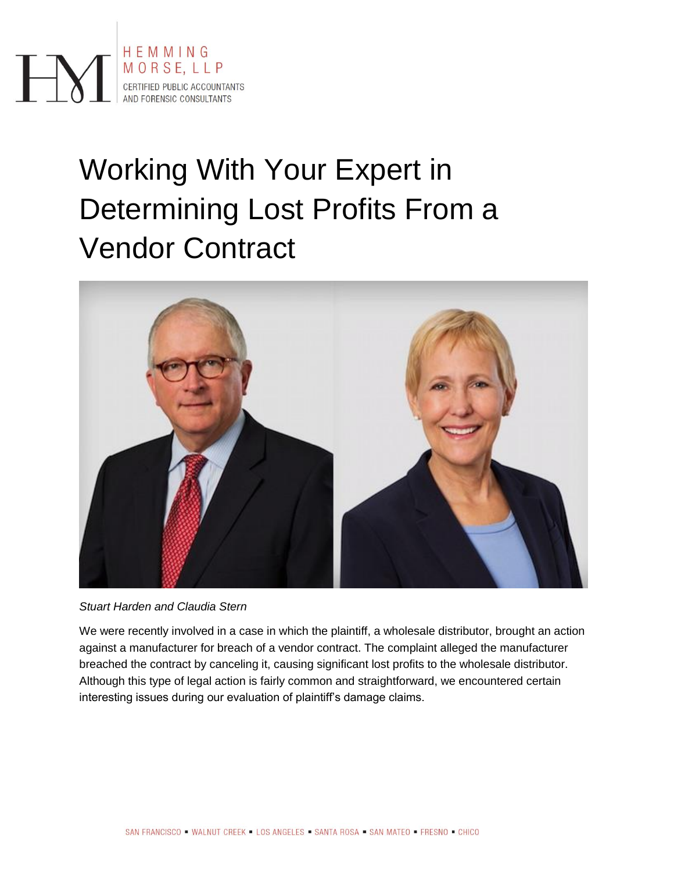

# Working With Your Expert in Determining Lost Profits From a Vendor Contract



*Stuart Harden and Claudia Stern*

We were recently involved in a case in which the plaintiff, a wholesale distributor, brought an action against a manufacturer for breach of a vendor contract. The complaint alleged the manufacturer breached the contract by canceling it, causing significant lost profits to the wholesale distributor. Although this type of legal action is fairly common and straightforward, we encountered certain interesting issues during our evaluation of plaintiff's damage claims.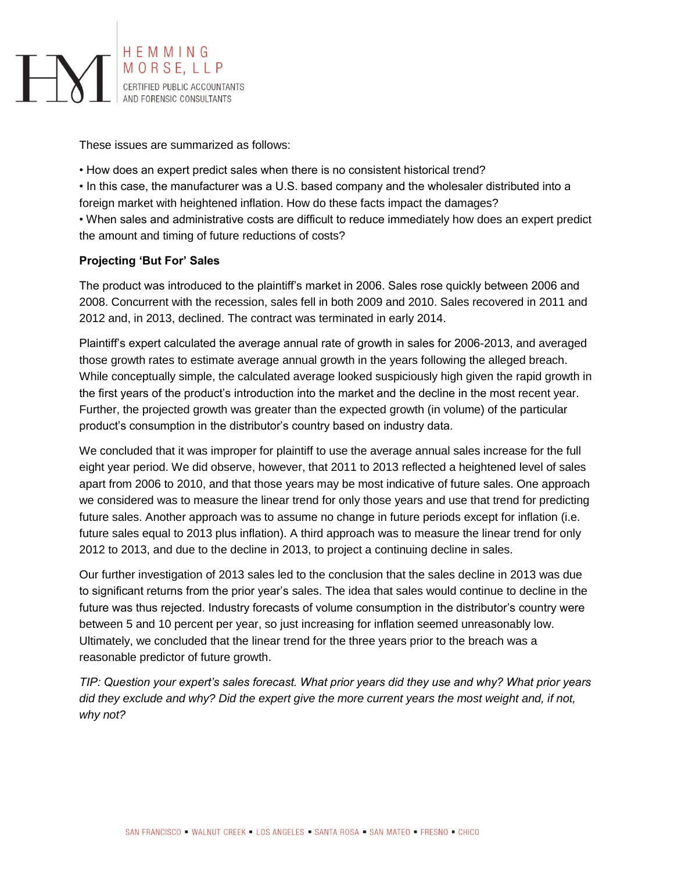

These issues are summarized as follows:

• How does an expert predict sales when there is no consistent historical trend?

• In this case, the manufacturer was a U.S. based company and the wholesaler distributed into a foreign market with heightened inflation. How do these facts impact the damages? • When sales and administrative costs are difficult to reduce immediately how does an expert predict

the amount and timing of future reductions of costs?

## **Projecting 'But For' Sales**

The product was introduced to the plaintiff's market in 2006. Sales rose quickly between 2006 and 2008. Concurrent with the recession, sales fell in both 2009 and 2010. Sales recovered in 2011 and 2012 and, in 2013, declined. The contract was terminated in early 2014.

Plaintiff's expert calculated the average annual rate of growth in sales for 2006-2013, and averaged those growth rates to estimate average annual growth in the years following the alleged breach. While conceptually simple, the calculated average looked suspiciously high given the rapid growth in the first years of the product's introduction into the market and the decline in the most recent year. Further, the projected growth was greater than the expected growth (in volume) of the particular product's consumption in the distributor's country based on industry data.

We concluded that it was improper for plaintiff to use the average annual sales increase for the full eight year period. We did observe, however, that 2011 to 2013 reflected a heightened level of sales apart from 2006 to 2010, and that those years may be most indicative of future sales. One approach we considered was to measure the linear trend for only those years and use that trend for predicting future sales. Another approach was to assume no change in future periods except for inflation (i.e. future sales equal to 2013 plus inflation). A third approach was to measure the linear trend for only 2012 to 2013, and due to the decline in 2013, to project a continuing decline in sales.

Our further investigation of 2013 sales led to the conclusion that the sales decline in 2013 was due to significant returns from the prior year's sales. The idea that sales would continue to decline in the future was thus rejected. Industry forecasts of volume consumption in the distributor's country were between 5 and 10 percent per year, so just increasing for inflation seemed unreasonably low. Ultimately, we concluded that the linear trend for the three years prior to the breach was a reasonable predictor of future growth.

*TIP: Question your expert's sales forecast. What prior years did they use and why? What prior years did they exclude and why? Did the expert give the more current years the most weight and, if not, why not?*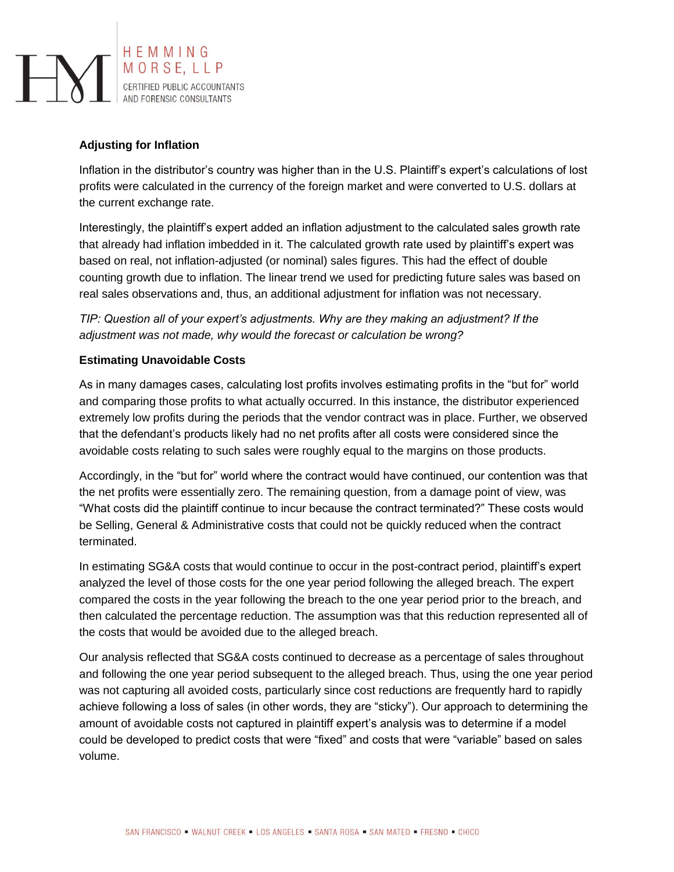

# **Adjusting for Inflation**

Inflation in the distributor's country was higher than in the U.S. Plaintiff's expert's calculations of lost profits were calculated in the currency of the foreign market and were converted to U.S. dollars at the current exchange rate.

Interestingly, the plaintiff's expert added an inflation adjustment to the calculated sales growth rate that already had inflation imbedded in it. The calculated growth rate used by plaintiff's expert was based on real, not inflation-adjusted (or nominal) sales figures. This had the effect of double counting growth due to inflation. The linear trend we used for predicting future sales was based on real sales observations and, thus, an additional adjustment for inflation was not necessary.

*TIP: Question all of your expert's adjustments. Why are they making an adjustment? If the adjustment was not made, why would the forecast or calculation be wrong?*

## **Estimating Unavoidable Costs**

As in many damages cases, calculating lost profits involves estimating profits in the "but for" world and comparing those profits to what actually occurred. In this instance, the distributor experienced extremely low profits during the periods that the vendor contract was in place. Further, we observed that the defendant's products likely had no net profits after all costs were considered since the avoidable costs relating to such sales were roughly equal to the margins on those products.

Accordingly, in the "but for" world where the contract would have continued, our contention was that the net profits were essentially zero. The remaining question, from a damage point of view, was "What costs did the plaintiff continue to incur because the contract terminated?" These costs would be Selling, General & Administrative costs that could not be quickly reduced when the contract terminated.

In estimating SG&A costs that would continue to occur in the post-contract period, plaintiff's expert analyzed the level of those costs for the one year period following the alleged breach. The expert compared the costs in the year following the breach to the one year period prior to the breach, and then calculated the percentage reduction. The assumption was that this reduction represented all of the costs that would be avoided due to the alleged breach.

Our analysis reflected that SG&A costs continued to decrease as a percentage of sales throughout and following the one year period subsequent to the alleged breach. Thus, using the one year period was not capturing all avoided costs, particularly since cost reductions are frequently hard to rapidly achieve following a loss of sales (in other words, they are "sticky"). Our approach to determining the amount of avoidable costs not captured in plaintiff expert's analysis was to determine if a model could be developed to predict costs that were "fixed" and costs that were "variable" based on sales volume.